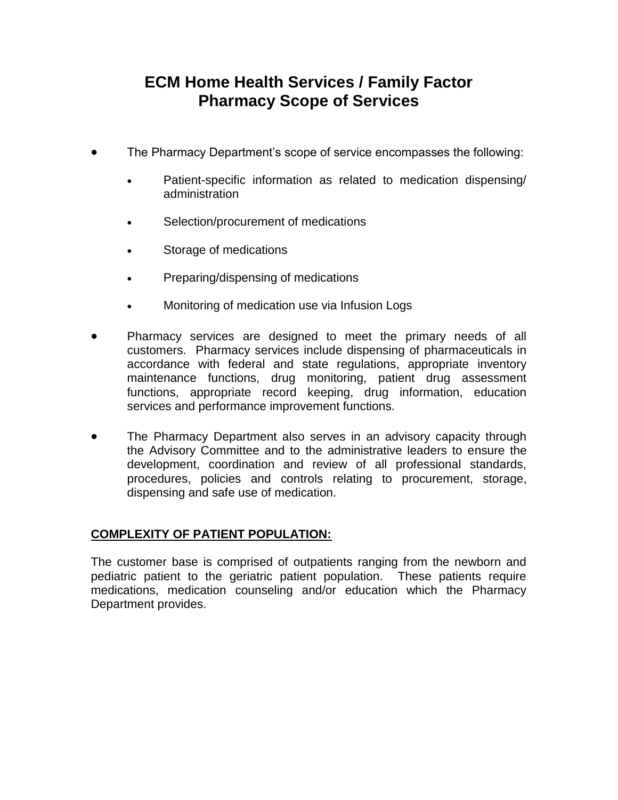# **ECM Home Health Services / Family Factor Pharmacy Scope of Services**

- The Pharmacy Department's scope of service encompasses the following:
	- Patient-specific information as related to medication dispensing/ administration
	- Selection/procurement of medications
	- Storage of medications
	- Preparing/dispensing of medications
	- Monitoring of medication use via Infusion Logs
- Pharmacy services are designed to meet the primary needs of all customers. Pharmacy services include dispensing of pharmaceuticals in accordance with federal and state regulations, appropriate inventory maintenance functions, drug monitoring, patient drug assessment functions, appropriate record keeping, drug information, education services and performance improvement functions.
- The Pharmacy Department also serves in an advisory capacity through the Advisory Committee and to the administrative leaders to ensure the development, coordination and review of all professional standards, procedures, policies and controls relating to procurement, storage, dispensing and safe use of medication.

## **COMPLEXITY OF PATIENT POPULATION:**

The customer base is comprised of outpatients ranging from the newborn and pediatric patient to the geriatric patient population. These patients require medications, medication counseling and/or education which the Pharmacy Department provides.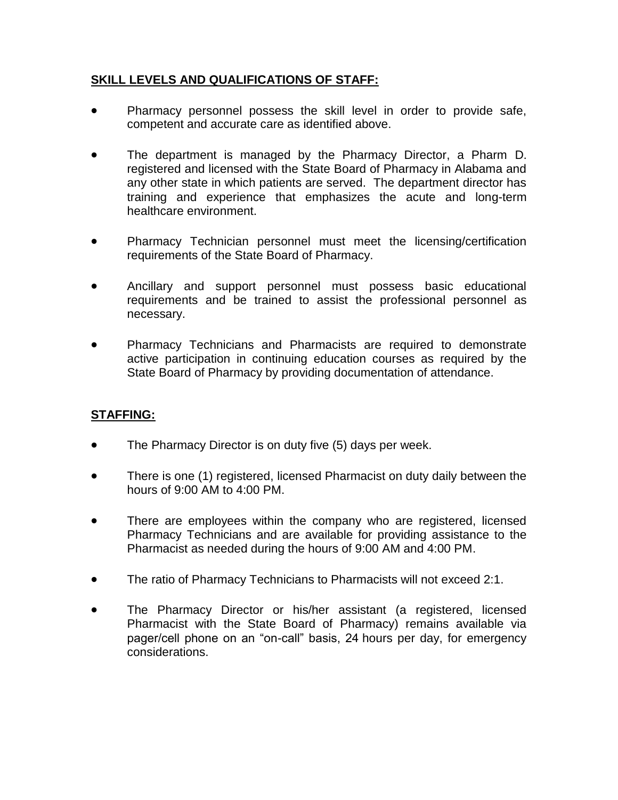## **SKILL LEVELS AND QUALIFICATIONS OF STAFF:**

- Pharmacy personnel possess the skill level in order to provide safe, competent and accurate care as identified above.
- The department is managed by the Pharmacy Director, a Pharm D. registered and licensed with the State Board of Pharmacy in Alabama and any other state in which patients are served. The department director has training and experience that emphasizes the acute and long-term healthcare environment.
- Pharmacy Technician personnel must meet the licensing/certification requirements of the State Board of Pharmacy.
- Ancillary and support personnel must possess basic educational requirements and be trained to assist the professional personnel as necessary.
- Pharmacy Technicians and Pharmacists are required to demonstrate active participation in continuing education courses as required by the State Board of Pharmacy by providing documentation of attendance.

## **STAFFING:**

- The Pharmacy Director is on duty five (5) days per week.
- There is one (1) registered, licensed Pharmacist on duty daily between the hours of 9:00 AM to 4:00 PM.
- There are employees within the company who are registered, licensed Pharmacy Technicians and are available for providing assistance to the Pharmacist as needed during the hours of 9:00 AM and 4:00 PM.
- The ratio of Pharmacy Technicians to Pharmacists will not exceed 2:1.
- The Pharmacy Director or his/her assistant (a registered, licensed Pharmacist with the State Board of Pharmacy) remains available via pager/cell phone on an "on-call" basis, 24 hours per day, for emergency considerations.